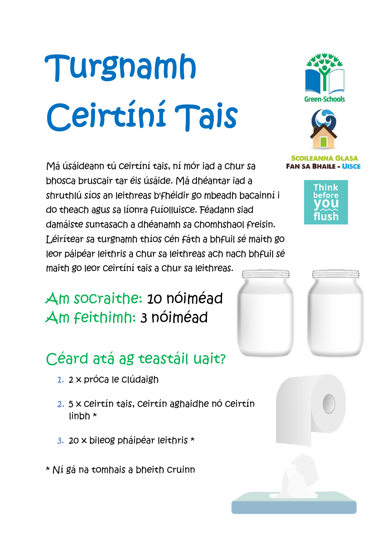# Turgnamh Ceirtíní Tais

Má úsáideann tú ceirtíní tais, ní mór iad a chur sa bhosca bruscair tar éis úsáide. Má dhéantar iad a shruthlú síos an leithreas b'fhéidir go mbeadh bacainní i do theach agus sa líonra fuíolluisce. Féadann siad damáiste suntasach a dhéanamh sa chomhshaol freisin. Léirítear sa turgnamh thíos cén fáth a bhfuil sé maith go leor páipéar leithris a chur sa leithreas ach nach bhfuil sé maith go leor ceirtíní tais a chur sa leithreas.

Am socraithe: 10 nóiméad Am feithimh: 3 nóiméad

## Céard atá ag teastáil uait?

- 1. 2 x próca le clúdaigh
- 2. 5 x ceirtín tais, ceirtín aghaidhe nó ceirtín linbh \*
- 3. 20 x bileog pháipéar leithris \*
- \* Ní gá na tomhais a bheith cruinn





#### **SCOILEANNA GLASA FAN SA BHAILE - UISCE**